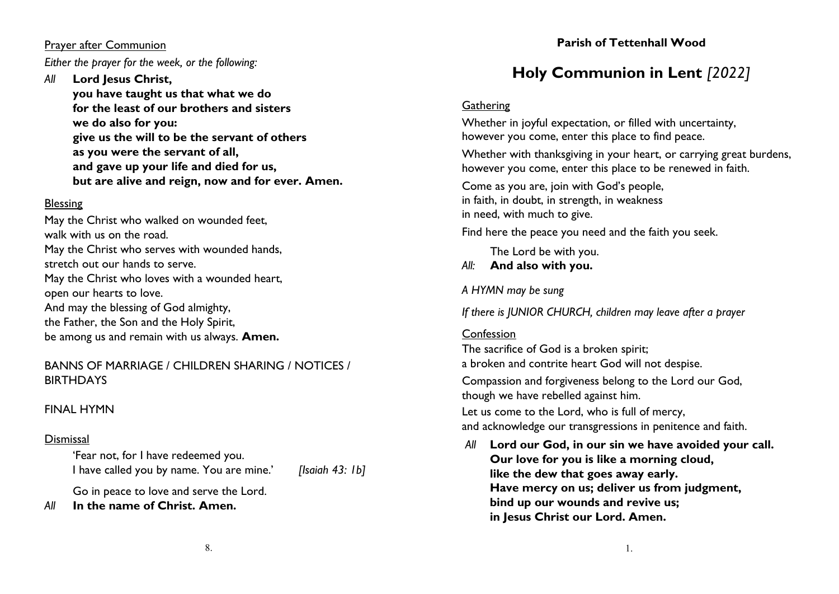#### Prayer after Communion

*Either the prayer for the week, or the following:*

## *All* **Lord Jesus Christ, you have taught us that what we do for the least of our brothers and sisters we do also for you: give us the will to be the servant of others as you were the servant of all, and gave up your life and died for us, but are alive and reign, now and for ever. Amen.**

## Blessing

May the Christ who walked on wounded feet, walk with us on the road. May the Christ who serves with wounded hands, stretch out our hands to serve. May the Christ who loves with a wounded heart, open our hearts to love. And may the blessing of God almighty, the Father, the Son and the Holy Spirit, be among us and remain with us always. **Amen.**

## BANNS OF MARRIAGE / CHILDREN SHARING / NOTICES / BIRTHDAYS

## FINAL HYMN

## **Dismissal**

'Fear not, for I have redeemed you. I have called you by name. You are mine.' *[Isaiah 43: 1b]*

Go in peace to love and serve the Lord. *All* **In the name of Christ. Amen.**

# **Parish of Tettenhall Wood**

# **Holy Communion in Lent** *[2022]*

## **Gathering**

Whether in joyful expectation, or filled with uncertainty, however you come, enter this place to find peace.

Whether with thanksgiving in your heart, or carrying great burdens, however you come, enter this place to be renewed in faith.

Come as you are, join with God's people, in faith, in doubt, in strength, in weakness in need, with much to give.

Find here the peace you need and the faith you seek.

The Lord be with you.

## *All:* **And also with you.**

*A HYMN may be sung*

*If there is JUNIOR CHURCH, children may leave after a prayer*

## Confession

The sacrifice of God is a broken spirit;

a broken and contrite heart God will not despise.

Compassion and forgiveness belong to the Lord our God, though we have rebelled against him.

Let us come to the Lord, who is full of mercy, and acknowledge our transgressions in penitence and faith.

*All* **Lord our God, in our sin we have avoided your call. Our love for you is like a morning cloud, like the dew that goes away early. Have mercy on us; deliver us from judgment, bind up our wounds and revive us; in Jesus Christ our Lord. Amen.**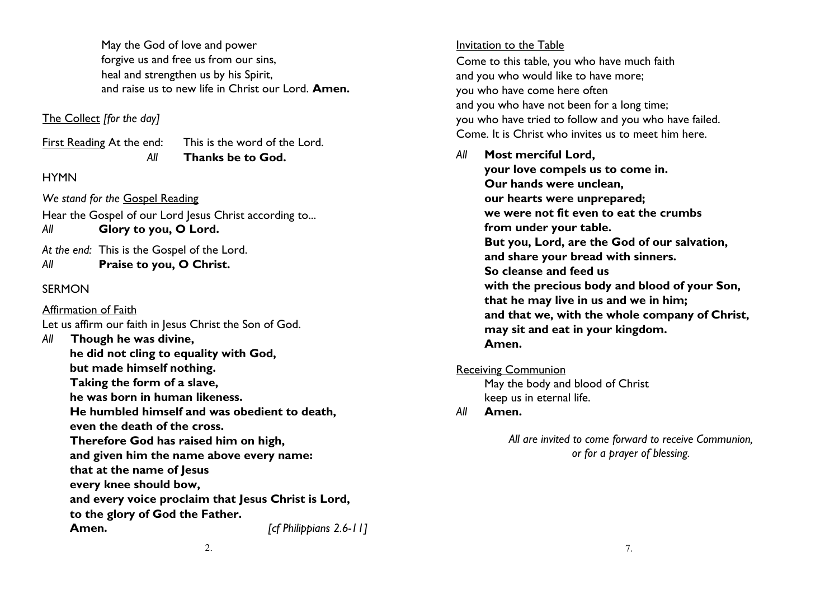May the God of love and power forgive us and free us from our sins, heal and strengthen us by his Spirit, and raise us to new life in Christ our Lord. **Amen.**

#### The Collect *[for the day]*

First Reading At the end: This is the word of the Lord. *All* **Thanks be to God.**

#### **HYMN**

*We stand for the* Gospel Reading

Hear the Gospel of our Lord Jesus Christ according to... *All* **Glory to you, O Lord.**

*At the end:* This is the Gospel of the Lord. *All* **Praise to you, O Christ.**

#### **SFRMON**

## Affirmation of Faith

Let us affirm our faith in Jesus Christ the Son of God.

*All* **Though he was divine, he did not cling to equality with God, but made himself nothing. Taking the form of a slave, he was born in human likeness. He humbled himself and was obedient to death, even the death of the cross. Therefore God has raised him on high, and given him the name above every name: that at the name of Jesus every knee should bow, and every voice proclaim that Jesus Christ is Lord, to the glory of God the Father. Amen.** *[cf Philippians 2.6-11]*

#### Invitation to the Table

Come to this table, you who have much faith and you who would like to have more; you who have come here often and you who have not been for a long time; you who have tried to follow and you who have failed. Come. It is Christ who invites us to meet him here.

*All* **Most merciful Lord, your love compels us to come in. Our hands were unclean, our hearts were unprepared; we were not fit even to eat the crumbs from under your table. But you, Lord, are the God of our salvation, and share your bread with sinners. So cleanse and feed us with the precious body and blood of your Son, that he may live in us and we in him; and that we, with the whole company of Christ, may sit and eat in your kingdom. Amen.**

Receiving Communion

May the body and blood of Christ keep us in eternal life.

*All* **Amen.**

*All are invited to come forward to receive Communion, or for a prayer of blessing.*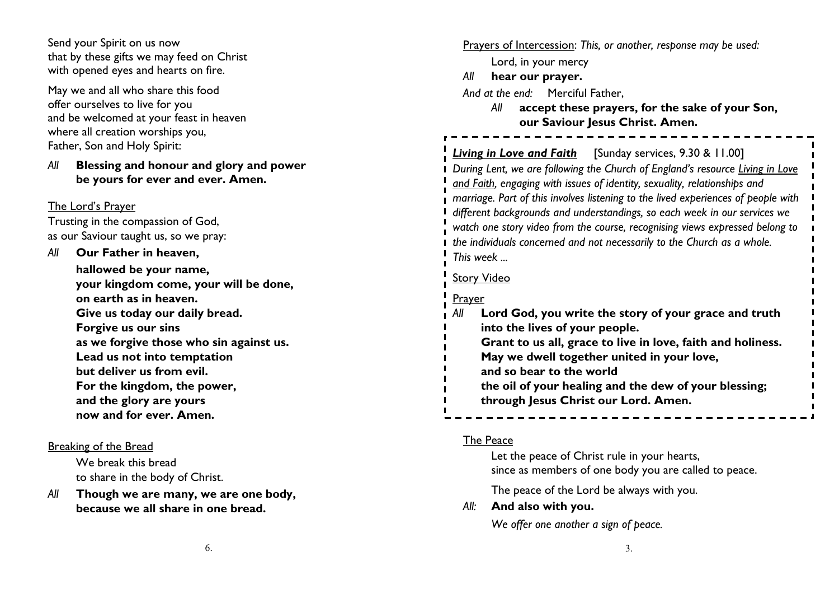Send your Spirit on us now that by these gifts we may feed on Christ with opened eyes and hearts on fire.

May we and all who share this food offer ourselves to live for you and be welcomed at your feast in heaven where all creation worships you, Father, Son and Holy Spirit:

#### *All* **Blessing and honour and glory and power be yours for ever and ever. Amen.**

#### The Lord's Prayer

Trusting in the compassion of God, as our Saviour taught us, so we pray:

*All* **Our Father in heaven, hallowed be your name, your kingdom come, your will be done, on earth as in heaven. Give us today our daily bread. Forgive us our sins as we forgive those who sin against us. Lead us not into temptation but deliver us from evil. For the kingdom, the power, and the glory are yours now and for ever. Amen.**

#### Breaking of the Bread

We break this bread to share in the body of Christ.

*All* **Though we are many, we are one body, because we all share in one bread.**

Prayers of Intercession: *This, or another, response may be used:* Lord, in your mercy *All* **hear our prayer.** *And at the end:* Merciful Father, *All* **accept these prayers, for the sake of your Son, our Saviour Jesus Christ. Amen.** *Living in Love and Faith* [Sunday services, 9.30 & 11.00] *During Lent, we are following the Church of England's resource Living in Love and Faith, engaging with issues of identity, sexuality, relationships and marriage. Part of this involves listening to the lived experiences of people with different backgrounds and understandings, so each week in our services we watch one story video from the course, recognising views expressed belong to the individuals concerned and not necessarily to the Church as a whole. This week ...* Story Video **Prayer** *All* **Lord God, you write the story of your grace and truth into the lives of your people. Grant to us all, grace to live in love, faith and holiness. May we dwell together united in your love, and so bear to the world the oil of your healing and the dew of your blessing; through Jesus Christ our Lord. Amen.**

## The Peace

Let the peace of Christ rule in your hearts, since as members of one body you are called to peace.

The peace of the Lord be always with you.

#### *All:* **And also with you.**

*We offer one another a sign of peace.*